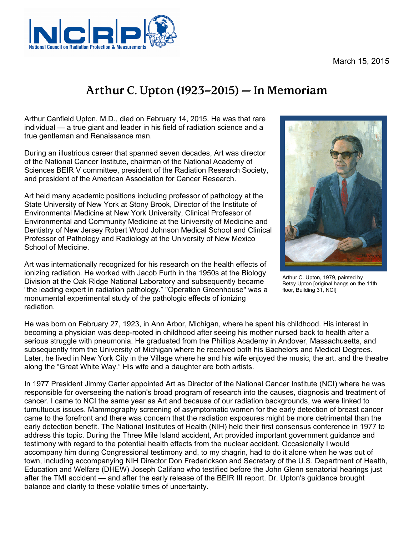March 15, 2015



## **Arthur C. Upton (1923–2015) — In Memoriam**

Arthur Canfield Upton, M.D., died on February 14, 2015. He was that rare individual — a true giant and leader in his field of radiation science and a true gentleman and Renaissance man.

During an illustrious career that spanned seven decades, Art was director of the National Cancer Institute, chairman of the National Academy of Sciences BEIR V committee, president of the Radiation Research Society, and president of the American Association for Cancer Research.

Art held many academic positions including professor of pathology at the State University of New York at Stony Brook, Director of the Institute of Environmental Medicine at New York University, Clinical Professor of Environmental and Community Medicine at the University of Medicine and Dentistry of New Jersey Robert Wood Johnson Medical School and Clinical Professor of Pathology and Radiology at the University of New Mexico School of Medicine.

Art was internationally recognized for his research on the health effects of ionizing radiation. He worked with Jacob Furth in the 1950s at the Biology Division at the Oak Ridge National Laboratory and subsequently became "the leading expert in radiation pathology." "Operation Greenhouse" was a monumental experimental study of the pathologic effects of ionizing radiation.



Arthur C. Upton, 1979, painted by Betsy Upton [original hangs on the 11th floor, Building 31, NCI]

He was born on February 27, 1923, in Ann Arbor, Michigan, where he spent his childhood. His interest in becoming a physician was deep-rooted in childhood after seeing his mother nursed back to health after a serious struggle with pneumonia. He graduated from the Phillips Academy in Andover, Massachusetts, and subsequently from the University of Michigan where he received both his Bachelors and Medical Degrees. Later, he lived in New York City in the Village where he and his wife enjoyed the music, the art, and the theatre along the "Great White Way." His wife and a daughter are both artists.

In 1977 President Jimmy Carter appointed Art as Director of the National Cancer Institute (NCI) where he was responsible for overseeing the nation's broad program of research into the causes, diagnosis and treatment of cancer. I came to NCI the same year as Art and because of our radiation backgrounds, we were linked to tumultuous issues. Mammography screening of asymptomatic women for the early detection of breast cancer came to the forefront and there was concern that the radiation exposures might be more detrimental than the early detection benefit. The National Institutes of Health (NIH) held their first consensus conference in 1977 to address this topic. During the Three Mile Island accident, Art provided important government guidance and testimony with regard to the potential health effects from the nuclear accident. Occasionally I would accompany him during Congressional testimony and, to my chagrin, had to do it alone when he was out of town, including accompanying NIH Director Don Frederickson and Secretary of the U.S. Department of Health, Education and Welfare (DHEW) Joseph Califano who testified before the John Glenn senatorial hearings just after the TMI accident — and after the early release of the BEIR III report. Dr. Upton's guidance brought balance and clarity to these volatile times of uncertainty.